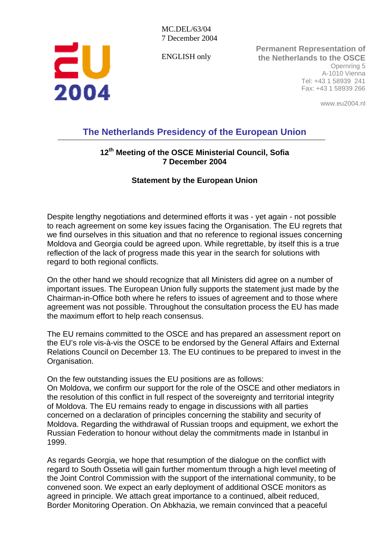ENGLISH only



**Permanent Representation of the Netherlands to the OSCE** Opernring 5 A-1010 Vienna Tel: +43 1 58939 241 Fax: +43 1 58939 266

www.eu2004.nl

## **The Netherlands Presidency of the European Union**

## **12th Meeting of the OSCE Ministerial Council, Sofia 7 December 2004**

## **Statement by the European Union**

Despite lengthy negotiations and determined efforts it was - yet again - not possible to reach agreement on some key issues facing the Organisation. The EU regrets that we find ourselves in this situation and that no reference to regional issues concerning Moldova and Georgia could be agreed upon. While regrettable, by itself this is a true reflection of the lack of progress made this year in the search for solutions with regard to both regional conflicts.

On the other hand we should recognize that all Ministers did agree on a number of important issues. The European Union fully supports the statement just made by the Chairman-in-Office both where he refers to issues of agreement and to those where agreement was not possible. Throughout the consultation process the EU has made the maximum effort to help reach consensus.

The EU remains committed to the OSCE and has prepared an assessment report on the EU's role vis-à-vis the OSCE to be endorsed by the General Affairs and External Relations Council on December 13. The EU continues to be prepared to invest in the Organisation.

On the few outstanding issues the EU positions are as follows:

On Moldova, we confirm our support for the role of the OSCE and other mediators in the resolution of this conflict in full respect of the sovereignty and territorial integrity of Moldova. The EU remains ready to engage in discussions with all parties concerned on a declaration of principles concerning the stability and security of Moldova. Regarding the withdrawal of Russian troops and equipment, we exhort the Russian Federation to honour without delay the commitments made in Istanbul in 1999.

As regards Georgia, we hope that resumption of the dialogue on the conflict with regard to South Ossetia will gain further momentum through a high level meeting of the Joint Control Commission with the support of the international community, to be convened soon. We expect an early deployment of additional OSCE monitors as agreed in principle. We attach great importance to a continued, albeit reduced, Border Monitoring Operation. On Abkhazia, we remain convinced that a peaceful